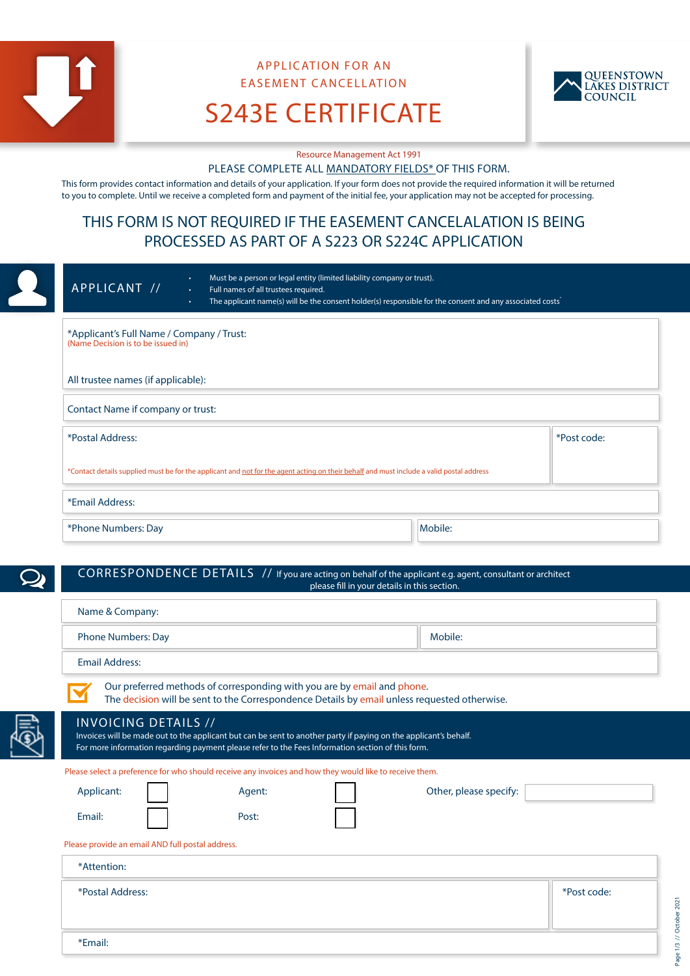

\*Email:

# APPLICATION FOR AN EASEMENT CANCELLATION



S243E CERTIFICATE

Resource Management Act 1991

#### PLEASE COMPLETE ALL MANDATORY FIELDS\* OF THIS FORM.

This form provides contact information and details of your application. If your form does not provide the required information it will be returned to you to complete. Until we receive a completed form and payment of the initial fee, your application may not be accepted for processing.

## THIS FORM IS NOT REQUIRED IF THE EASEMENT CANCELALATION IS BEING PROCESSED AS PART OF A S223 OR S224C APPLICATION

|  | Must be a person or legal entity (limited liability company or trust).<br>$\bullet$<br>APPLICANT //<br>Full names of all trustees required.<br>$\bullet$<br>The applicant name(s) will be the consent holder(s) responsible for the consent and any associated costs <sup>-</sup><br>$\bullet$ |         |             |
|--|------------------------------------------------------------------------------------------------------------------------------------------------------------------------------------------------------------------------------------------------------------------------------------------------|---------|-------------|
|  | *Applicant's Full Name / Company / Trust:<br>(Name Decision is to be issued in)                                                                                                                                                                                                                |         |             |
|  | All trustee names (if applicable):                                                                                                                                                                                                                                                             |         |             |
|  | Contact Name if company or trust:                                                                                                                                                                                                                                                              |         |             |
|  | *Postal Address:<br>*Contact details supplied must be for the applicant and not for the agent acting on their behalf and must include a valid postal address                                                                                                                                   |         | *Post code: |
|  |                                                                                                                                                                                                                                                                                                |         |             |
|  | *Email Address:                                                                                                                                                                                                                                                                                |         |             |
|  | *Phone Numbers: Day                                                                                                                                                                                                                                                                            | Mobile: |             |

#### CORRESPONDENCE DETAILS // If you are acting on behalf of the applicant e.g. agent, consultant or architect please fill in your details in this section.

| Name & Company:                                                                                                                                                                                                                                      |        |  |                        |             |
|------------------------------------------------------------------------------------------------------------------------------------------------------------------------------------------------------------------------------------------------------|--------|--|------------------------|-------------|
| <b>Phone Numbers: Day</b>                                                                                                                                                                                                                            |        |  | Mobile:                |             |
| <b>Email Address:</b>                                                                                                                                                                                                                                |        |  |                        |             |
| Our preferred methods of corresponding with you are by email and phone.<br>The decision will be sent to the Correspondence Details by email unless requested otherwise.                                                                              |        |  |                        |             |
| <b>INVOICING DETAILS //</b><br>Invoices will be made out to the applicant but can be sent to another party if paying on the applicant's behalf.<br>For more information regarding payment please refer to the Fees Information section of this form. |        |  |                        |             |
| Please select a preference for who should receive any invoices and how they would like to receive them.                                                                                                                                              |        |  |                        |             |
| Applicant:                                                                                                                                                                                                                                           | Agent: |  | Other, please specify: |             |
| Email:                                                                                                                                                                                                                                               | Post:  |  |                        |             |
| Please provide an email AND full postal address.                                                                                                                                                                                                     |        |  |                        |             |
| *Attention:                                                                                                                                                                                                                                          |        |  |                        |             |
| *Postal Address:                                                                                                                                                                                                                                     |        |  |                        | *Post code: |

Page 1/3 // October 2021 Page 1/3 // October 202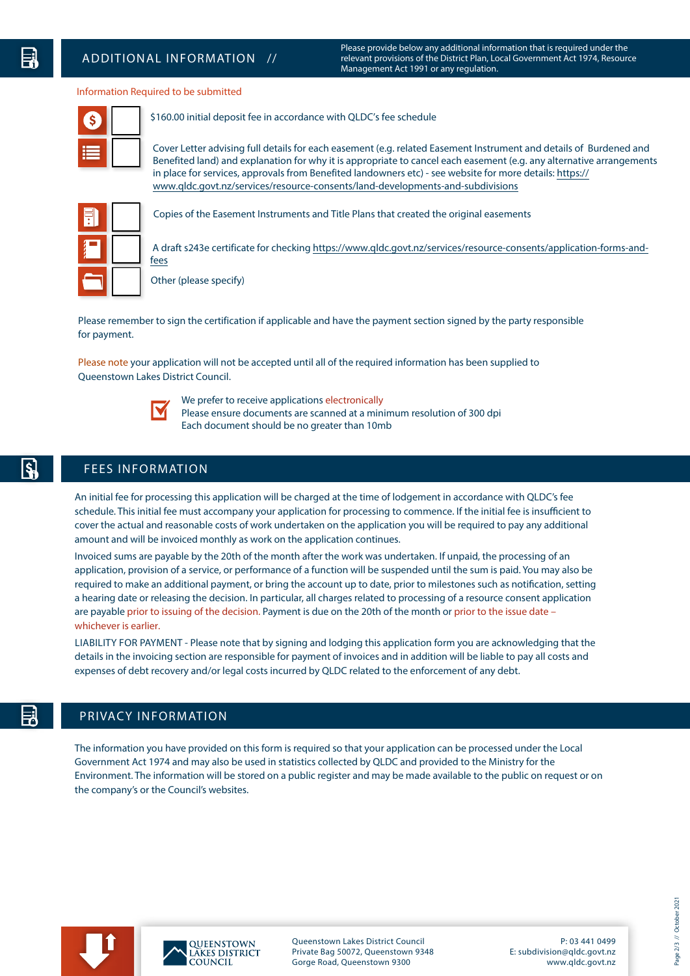Please provide below any additional information that is required under the relevant provisions of the District Plan, Local Government Act 1974, Resource Management Act 1991 or any regulation.

#### Information Required to be submitted

\$

\$160.00 initial deposit fee in accordance with QLDC's fee schedule

Cover Letter advising full details for each easement (e.g. related Easement Instrument and details of Burdened and Benefited land) and explanation for why it is appropriate to cancel each easement (e.g. any alternative arrangements [in place for services, approvals from Benefited landowners etc\) - see website for more details: https://](https://www.qldc.govt.nz/services/resource-consents/land-developments-and-subdivisions) www.qldc.govt.nz/services/resource-consents/land-developments-and-subdivisions



Copies of the Easement Instruments and Title Plans that created the original easements

[A draft s243e certificate for checking https://www.qldc.govt.nz/services/resource-consents/application-forms-and](https://www.qldc.govt.nz/services/resource-consents/application-forms-and-fees)fees

Other (please specify)

Please remember to sign the certification if applicable and have the payment section signed by the party responsible for payment.

Please note your application will not be accepted until all of the required information has been supplied to Queenstown Lakes District Council.



We prefer to receive applications electronically Please ensure documents are scanned at a minimum resolution of 300 dpi

Each document should be no greater than 10mb

### FEES INFORMATION

An initial fee for processing this application will be charged at the time of lodgement in accordance with QLDC's fee schedule. This initial fee must accompany your application for processing to commence. If the initial fee is insufficient to cover the actual and reasonable costs of work undertaken on the application you will be required to pay any additional amount and will be invoiced monthly as work on the application continues.

Invoiced sums are payable by the 20th of the month after the work was undertaken. If unpaid, the processing of an application, provision of a service, or performance of a function will be suspended until the sum is paid. You may also be required to make an additional payment, or bring the account up to date, prior to milestones such as notification, setting a hearing date or releasing the decision. In particular, all charges related to processing of a resource consent application are payable prior to issuing of the decision. Payment is due on the 20th of the month or prior to the issue date – whichever is earlier.

LIABILITY FOR PAYMENT - Please note that by signing and lodging this application form you are acknowledging that the details in the invoicing section are responsible for payment of invoices and in addition will be liable to pay all costs and expenses of debt recovery and/or legal costs incurred by QLDC related to the enforcement of any debt.

### PRIVACY INFORMATION

The information you have provided on this form is required so that your application can be processed under the Local Government Act 1974 and may also be used in statistics collected by QLDC and provided to the Ministry for the Environment. The information will be stored on a public register and may be made available to the public on request or on the company's or the Council's websites.





Queenstown Lakes District Council Private Bag 50072, Queenstown 9348 Gorge Road, Queenstown 9300

P: 03 441 0499 E: subdivision@qldc.govt.nz www.qldc.govt.nz